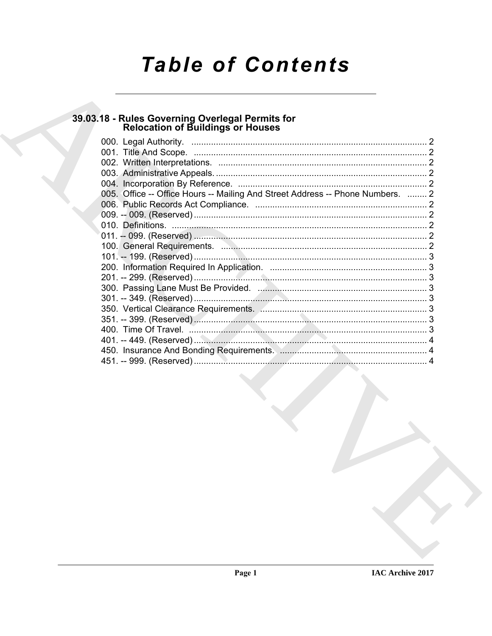# **Table of Contents**

# 39.03.18 - Rules Governing Overlegal Permits for<br>Relocation of Buildings or Houses

| 005. Office -- Office Hours -- Mailing And Street Address -- Phone Numbers.  2 |  |
|--------------------------------------------------------------------------------|--|
|                                                                                |  |
|                                                                                |  |
|                                                                                |  |
|                                                                                |  |
|                                                                                |  |
|                                                                                |  |
|                                                                                |  |
|                                                                                |  |
|                                                                                |  |
|                                                                                |  |
|                                                                                |  |
|                                                                                |  |
|                                                                                |  |
|                                                                                |  |
|                                                                                |  |
|                                                                                |  |
|                                                                                |  |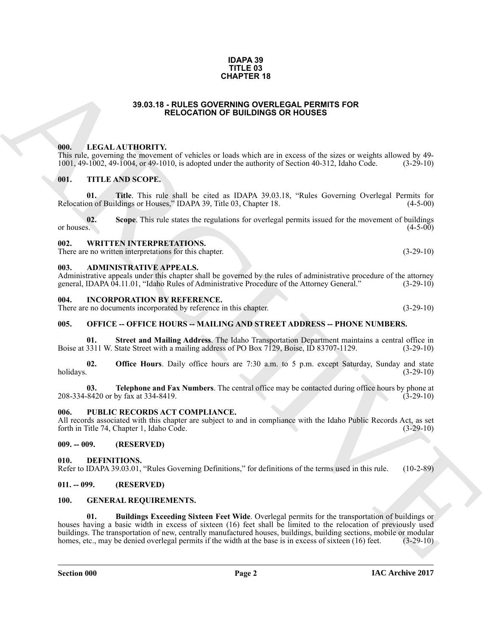#### **IDAPA 39 TITLE 03 CHAPTER 18**

## **39.03.18 - RULES GOVERNING OVERLEGAL PERMITS FOR RELOCATION OF BUILDINGS OR HOUSES**

### <span id="page-1-1"></span><span id="page-1-0"></span>**000. LEGAL AUTHORITY.**

This rule, governing the movement of vehicles or loads which are in excess of the sizes or weights allowed by 49-<br>1001, 49-1002, 49-1004, or 49-1010, is adopted under the authority of Section 40-312, Idaho Code. (3-29-10) 1001, 49-1002, 49-1004, or 49-1010, is adopted under the authority of Section 40-312, Idaho Code. (3-29-10)

### <span id="page-1-2"></span>**001. TITLE AND SCOPE.**

**01. Title**. This rule shall be cited as IDAPA 39.03.18, "Rules Governing Overlegal Permits for Relocation of Buildings or Houses," IDAPA 39, Title 03, Chapter 18. (4-5-00)

**02.** Scope. This rule states the regulations for overlegal permits issued for the movement of buildings or houses.  $(4-5-00)$ or houses.  $(4-5-00)$ 

#### <span id="page-1-3"></span>**002. WRITTEN INTERPRETATIONS.**

There are no written interpretations for this chapter. (3-29-10)

## <span id="page-1-4"></span>**003. ADMINISTRATIVE APPEALS.**

Administrative appeals under this chapter shall be governed by the rules of administrative procedure of the attorney general, IDAPA 04.11.01, "Idaho Rules of Administrative Procedure of the Attorney General." (3-29-10) general, IDAPA 04.11.01, "Idaho Rules of Administrative Procedure of the Attorney General."

#### <span id="page-1-5"></span>**004. INCORPORATION BY REFERENCE.**

There are no documents incorporated by reference in this chapter. (3-29-10)

### <span id="page-1-6"></span>**005. OFFICE -- OFFICE HOURS -- MAILING AND STREET ADDRESS -- PHONE NUMBERS.**

**01.** Street and Mailing Address. The Idaho Transportation Department maintains a central office in 3311 W. State Street with a mailing address of PO Box 7129, Boise, ID 83707-1129. (3-29-10) Boise at 3311 W. State Street with a mailing address of PO Box 7129, Boise, ID 83707-1129.

**02. Office Hours**. Daily office hours are 7:30 a.m. to 5 p.m. except Saturday, Sunday and state holidays. (3-29-10) holidays. (3-29-10)

**03. Telephone and Fax Numbers**. The central office may be contacted during office hours by phone at 8420 or by fax at 334-8419. 208-334-8420 or by fax at 334-8419.

### <span id="page-1-7"></span>**006. PUBLIC RECORDS ACT COMPLIANCE.**

All records associated with this chapter are subject to and in compliance with the Idaho Public Records Act, as set forth in Title 74, Chapter 1, Idaho Code. (3-29-10) forth in Title 74, Chapter 1, Idaho Code.

## <span id="page-1-12"></span><span id="page-1-8"></span>**009. -- 009. (RESERVED)**

<span id="page-1-9"></span>**010. DEFINITIONS.** Refer to IDAPA 39.03.01, "Rules Governing Definitions," for definitions of the terms used in this rule. (10-2-89)

### <span id="page-1-10"></span>**011. -- 099. (RESERVED)**

### <span id="page-1-14"></span><span id="page-1-13"></span><span id="page-1-11"></span>**100. GENERAL REQUIREMENTS.**

**39.03.16 CHAPTER 18**<br> **ARCHIVE COMPRISION OF THE COMPRISION CONTINUES OF HOLDSES**<br> **ARCHIVE COMPRISION OF THE COMPRISION CONTINUES OF HOLDSES**<br> **ARCHIVE COMPRISION OF THE COMPRISION CONTINUES OF THE COMPRISION OF THE C 01. Buildings Exceeding Sixteen Feet Wide**. Overlegal permits for the transportation of buildings or houses having a basic width in excess of sixteen (16) feet shall be limited to the relocation of previously used buildings. The transportation of new, centrally manufactured houses, buildings, building sections, mobile or modular homes, etc., may be denied overlegal permits if the width at the base is in excess of sixteen (16) feet. homes, etc., may be denied overlegal permits if the width at the base is in excess of sixteen (16) feet.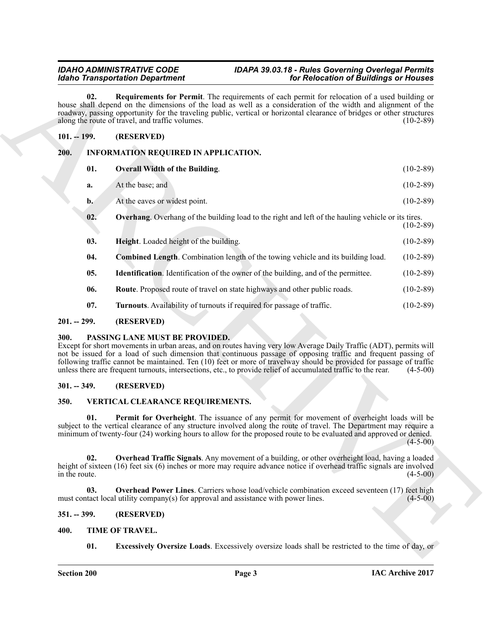# <span id="page-2-8"></span>*IDAHO ADMINISTRATIVE CODE IDAPA 39.03.18 - Rules Governing Overlegal Permits Idaho Transportation Department for Relocation of Buildings or Houses*

# <span id="page-2-14"></span><span id="page-2-13"></span><span id="page-2-9"></span><span id="page-2-1"></span><span id="page-2-0"></span>**101. -- 199. (RESERVED)**

|                      | for Relocation of Buildings or Houses<br><b>Idaho Transportation Department</b>                                                                                                                                                                                                                                                                                                                                                                                                                                  |             |
|----------------------|------------------------------------------------------------------------------------------------------------------------------------------------------------------------------------------------------------------------------------------------------------------------------------------------------------------------------------------------------------------------------------------------------------------------------------------------------------------------------------------------------------------|-------------|
| 02.                  | <b>Requirements for Permit</b> . The requirements of each permit for relocation of a used building or<br>house shall depend on the dimensions of the load as well as a consideration of the width and alignment of the<br>roadway, passing opportunity for the traveling public, vertical or horizontal clearance of bridges or other structures<br>along the route of travel, and traffic volumes.                                                                                                              | $(10-2-89)$ |
| $101. - 199.$        | (RESERVED)                                                                                                                                                                                                                                                                                                                                                                                                                                                                                                       |             |
| 200.                 | INFORMATION REQUIRED IN APPLICATION.                                                                                                                                                                                                                                                                                                                                                                                                                                                                             |             |
| 01.                  | <b>Overall Width of the Building.</b>                                                                                                                                                                                                                                                                                                                                                                                                                                                                            | $(10-2-89)$ |
| a.                   | At the base; and                                                                                                                                                                                                                                                                                                                                                                                                                                                                                                 | $(10-2-89)$ |
| $\mathbf{b}$ .       | At the eaves or widest point.                                                                                                                                                                                                                                                                                                                                                                                                                                                                                    | $(10-2-89)$ |
| 02.                  | <b>Overhang</b> . Overhang of the building load to the right and left of the hauling vehicle or its tires.                                                                                                                                                                                                                                                                                                                                                                                                       | $(10-2-89)$ |
| 03.                  | Height. Loaded height of the building.                                                                                                                                                                                                                                                                                                                                                                                                                                                                           | $(10-2-89)$ |
| 04.                  | Combined Length. Combination length of the towing vehicle and its building load.                                                                                                                                                                                                                                                                                                                                                                                                                                 | $(10-2-89)$ |
| 05.                  | Identification. Identification of the owner of the building, and of the permittee.                                                                                                                                                                                                                                                                                                                                                                                                                               | $(10-2-89)$ |
| 06.                  | Route. Proposed route of travel on state highways and other public roads.                                                                                                                                                                                                                                                                                                                                                                                                                                        | $(10-2-89)$ |
| 07.                  | Turnouts. Availability of turnouts if required for passage of traffic.                                                                                                                                                                                                                                                                                                                                                                                                                                           | $(10-2-89)$ |
| $201. - 299.$        | (RESERVED)                                                                                                                                                                                                                                                                                                                                                                                                                                                                                                       |             |
| 300.                 | PASSING LANE MUST BE PROVIDED.<br>Except for short movements in urban areas, and on routes having very low Average Daily Traffic (ADT), permits will<br>not be issued for a load of such dimension that continuous passage of opposing traffic and frequent passing of<br>following traffic cannot be maintained. Ten (10) feet or more of travelway should be provided for passage of traffic<br>unless there are frequent turnouts, intersections, etc., to provide relief of accumulated traffic to the rear. | $(4-5-00)$  |
|                      |                                                                                                                                                                                                                                                                                                                                                                                                                                                                                                                  |             |
| $301. - 349.$        | (RESERVED)                                                                                                                                                                                                                                                                                                                                                                                                                                                                                                       |             |
| 350.                 | VERTICAL CLEARANCE REQUIREMENTS.                                                                                                                                                                                                                                                                                                                                                                                                                                                                                 |             |
| 01.                  | Permit for Overheight. The issuance of any permit for movement of overheight loads will be<br>subject to the vertical clearance of any structure involved along the route of travel. The Department may require a<br>minimum of twenty-four (24) working hours to allow for the proposed route to be evaluated and approved or denied.                                                                                                                                                                           | $(4-5-00)$  |
| 02.<br>in the route. | Overhead Traffic Signals. Any movement of a building, or other overheight load, having a loaded<br>height of sixteen (16) feet six (6) inches or more may require advance notice if overhead traffic signals are involved                                                                                                                                                                                                                                                                                        | $(4-5-00)$  |
| 03.                  | <b>Overhead Power Lines.</b> Carriers whose load/vehicle combination exceed seventeen (17) feet high<br>must contact local utility company(s) for approval and assistance with power lines.                                                                                                                                                                                                                                                                                                                      | $(4-5-00)$  |
| $351. - 399.$        | (RESERVED)                                                                                                                                                                                                                                                                                                                                                                                                                                                                                                       |             |
| 400.                 | TIME OF TRAVEL.                                                                                                                                                                                                                                                                                                                                                                                                                                                                                                  |             |

# <span id="page-2-16"></span><span id="page-2-15"></span><span id="page-2-12"></span><span id="page-2-11"></span><span id="page-2-10"></span><span id="page-2-2"></span>**201. -- 299. (RESERVED)**

# <span id="page-2-17"></span><span id="page-2-3"></span>**300. PASSING LANE MUST BE PROVIDED.**

# <span id="page-2-4"></span>**301. -- 349. (RESERVED)**

# <span id="page-2-23"></span><span id="page-2-22"></span><span id="page-2-20"></span><span id="page-2-5"></span>**350. VERTICAL CLEARANCE REQUIREMENTS.**

# <span id="page-2-21"></span><span id="page-2-6"></span>**351. -- 399. (RESERVED)**

# <span id="page-2-19"></span><span id="page-2-18"></span><span id="page-2-7"></span>**400. TIME OF TRAVEL.**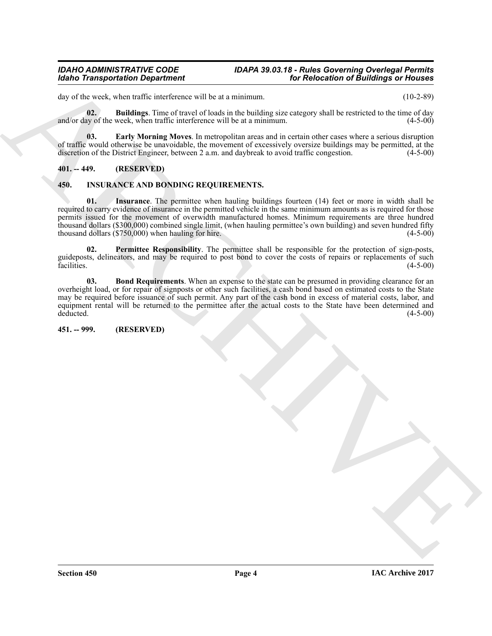## *IDAHO ADMINISTRATIVE CODE IDAPA 39.03.18 - Rules Governing Overlegal Permits Idaho Transportation Department for Relocation of Buildings or Houses*

day of the week, when traffic interference will be at a minimum. (10-2-89)

<span id="page-3-7"></span>**02. Buildings**. Time of travel of loads in the building size category shall be restricted to the time of day and/or day of the week, when traffic interference will be at a minimum. (4-5-00)

<span id="page-3-8"></span>**03. Early Morning Moves**. In metropolitan areas and in certain other cases where a serious disruption of traffic would otherwise be unavoidable, the movement of excessively oversize buildings may be permitted, at the discretion of the District Engineer, between 2 a.m. and daybreak to avoid traffic congestion. (4-5-00)

# <span id="page-3-0"></span>**401. -- 449. (RESERVED)**

# <span id="page-3-5"></span><span id="page-3-3"></span><span id="page-3-1"></span>**450. INSURANCE AND BONDING REQUIREMENTS.**

Motio Transportation Department<br>
for Rebecaliton of Buildings on Homes<br>
due the sets, when talking in the centroid of local antichromatic process attack the centroid in the centroid of the set of due of the sets and the s **01. Insurance**. The permittee when hauling buildings fourteen (14) feet or more in width shall be required to carry evidence of insurance in the permitted vehicle in the same minimum amounts as is required for those permits issued for the movement of overwidth manufactured homes. Minimum requirements are three hundred thousand dollars (\$300,000) combined single limit, (when hauling permittee's own building) and seven hundred fifty thousand dollars (\$750,000) when hauling for hire. (4-5-00) (4-5-00)

<span id="page-3-6"></span>**02. Permittee Responsibility**. The permittee shall be responsible for the protection of sign-posts, guideposts, delineators, and may be required to post bond to cover the costs of repairs or replacements of such<br>facilities. (4-5-00) facilities. (4-5-00)

<span id="page-3-4"></span>**03. Bond Requirements**. When an expense to the state can be presumed in providing clearance for an overheight load, or for repair of signposts or other such facilities, a cash bond based on estimated costs to the State may be required before issuance of such permit. Any part of the cash bond in excess of material costs, labor, and equipment rental will be returned to the permittee after the actual costs to the State have been determined and deducted. (4-5-00) deducted.  $(4-5-00)$ 

# <span id="page-3-2"></span>**451. -- 999. (RESERVED)**